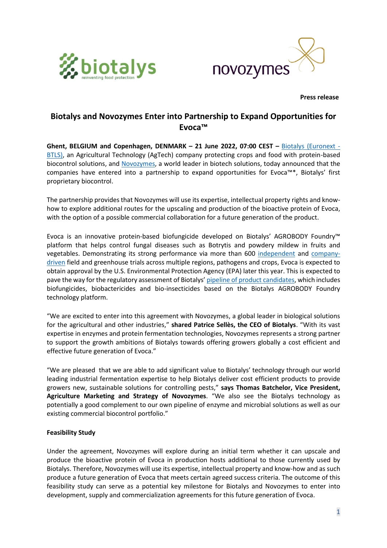



 **Press release**

# **Biotalys and Novozymes Enter into Partnership to Expand Opportunities for Evoca™**

**Ghent, BELGIUM and Copenhagen, DENMARK – 21 June 2022, 07:00 CEST –** [Biotalys \(Euronext -](http://www.biotalys.com/) [BTLS\),](http://www.biotalys.com/) an Agricultural Technology (AgTech) company protecting crops and food with protein-based biocontrol solutions, and [Novozymes,](https://www.novozymes.com/en) a world leader in biotech solutions, today announced that the companies have entered into a partnership to expand opportunities for Evoca™\*, Biotalys' first proprietary biocontrol.

The partnership provides that Novozymes will use its expertise, intellectual property rights and knowhow to explore additional routes for the upscaling and production of the bioactive protein of Evoca, with the option of a possible commercial collaboration for a future generation of the product.

Evoca is an innovative protein-based biofungicide developed on Biotalys' AGROBODY Foundry™ platform that helps control fungal diseases such as Botrytis and powdery mildew in fruits and vegetables. Demonstrating its strong performance via more than 600 [independent](https://biotalys.com/media/news/biotalys-first-biocontrol-evocatm-demonstrated-be-excellent-new-tool-growers-2021) and [company](https://biotalys.com/media/news/latest-field-trials-validate-strength-biotalys-first-biocontrol-evoca)[driven](https://biotalys.com/media/news/latest-field-trials-validate-strength-biotalys-first-biocontrol-evoca) field and greenhouse trials across multiple regions, pathogens and crops, Evoca is expected to obtain approval by the U.S. Environmental Protection Agency (EPA) later this year. This is expected to pave the way for the regulatory assessment of Biotalys' [pipeline of product candidates,](https://www.biotalys.com/our-solutions/product-pipeline) which includes biofungicides, biobactericides and bio-insecticides based on the Biotalys AGROBODY Foundry technology platform.

"We are excited to enter into this agreement with Novozymes, a global leader in biological solutions for the agricultural and other industries," **shared Patrice Sellès, the CEO of Biotalys**. "With its vast expertise in enzymes and protein fermentation technologies, Novozymes represents a strong partner to support the growth ambitions of Biotalys towards offering growers globally a cost efficient and effective future generation of Evoca."

"We are pleased that we are able to add significant value to Biotalys' technology through our world leading industrial fermentation expertise to help Biotalys deliver cost efficient products to provide growers new, sustainable solutions for controlling pests," **says Thomas Batchelor, Vice President, Agriculture Marketing and Strategy of Novozymes**. "We also see the Biotalys technology as potentially a good complement to our own pipeline of enzyme and microbial solutions as well as our existing commercial biocontrol portfolio."

# **Feasibility Study**

Under the agreement, Novozymes will explore during an initial term whether it can upscale and produce the bioactive protein of Evoca in production hosts additional to those currently used by Biotalys. Therefore, Novozymes will use its expertise, intellectual property and know-how and as such produce a future generation of Evoca that meets certain agreed success criteria. The outcome of this feasibility study can serve as a potential key milestone for Biotalys and Novozymes to enter into development, supply and commercialization agreements for this future generation of Evoca.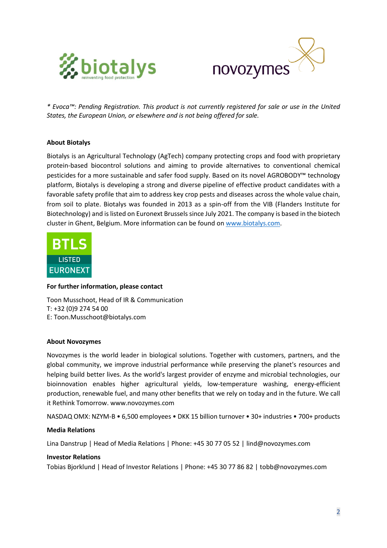



*\* Evoca™: Pending Registration. This product is not currently registered for sale or use in the United States, the European Union, or elsewhere and is not being offered for sale.*

## **About Biotalys**

Biotalys is an Agricultural Technology (AgTech) company protecting crops and food with proprietary protein-based biocontrol solutions and aiming to provide alternatives to conventional chemical pesticides for a more sustainable and safer food supply. Based on its novel AGROBODY™ technology platform, Biotalys is developing a strong and diverse pipeline of effective product candidates with a favorable safety profile that aim to address key crop pests and diseases across the whole value chain, from soil to plate. Biotalys was founded in 2013 as a spin-off from the VIB (Flanders Institute for Biotechnology) and is listed on Euronext Brussels since July 2021. The company is based in the biotech cluster in Ghent, Belgium. More information can be found o[n www.biotalys.com.](http://www.biotalys.com/)



## **For further information, please contact**

Toon Musschoot, Head of IR & Communication T: +32 (0)9 274 54 00 E: Toon.Musschoot@biotalys.com

#### **About Novozymes**

Novozymes is the world leader in biological solutions. Together with customers, partners, and the global community, we improve industrial performance while preserving the planet's resources and helping build better lives. As the world's largest provider of enzyme and microbial technologies, our bioinnovation enables higher agricultural yields, low-temperature washing, energy-efficient production, renewable fuel, and many other benefits that we rely on today and in the future. We call it Rethink Tomorrow[. www.novozymes.com](http://www.novozymes.com/)

NASDAQ OMX: NZYM-B • 6,500 employees • DKK 15 billion turnover • 30+ industries • 700+ products

#### **Media Relations**

Lina Danstrup | Head of Media Relations | Phone: +45 30 77 05 52 | [lind@novozymes.com](mailto:lind@novozymes.com)

#### **Investor Relations**

Tobias Bjorklund | Head of Investor Relations | Phone: +45 30 77 86 82 | [tobb@novozymes.com](mailto:)